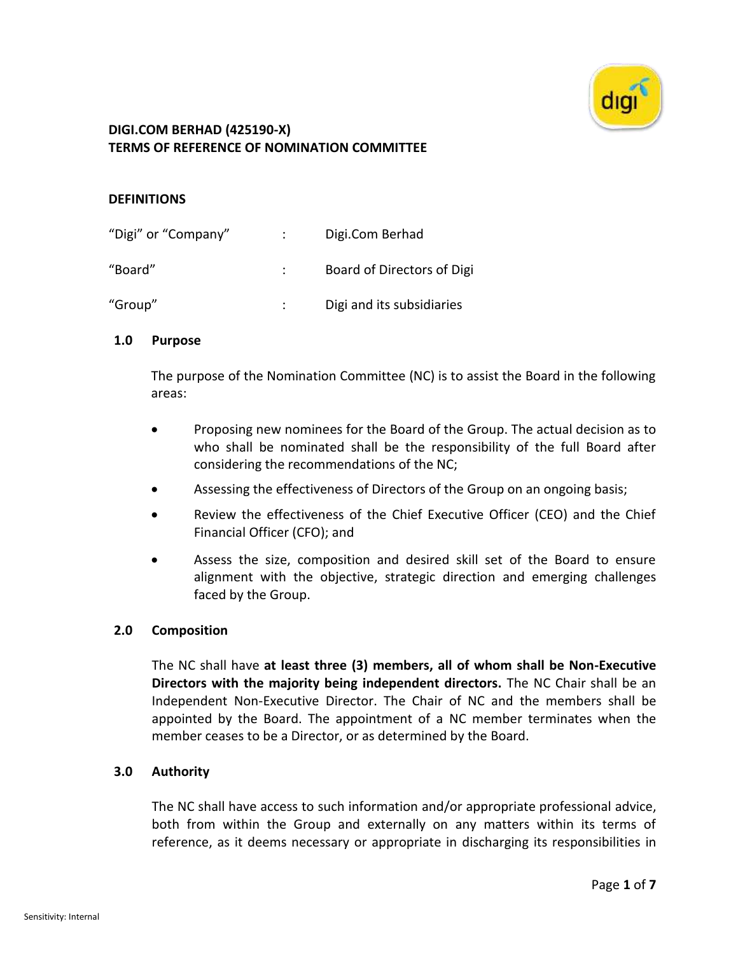

### **DEFINITIONS**

| "Digi" or "Company" | Digi.Com Berhad            |
|---------------------|----------------------------|
| "Board"             | Board of Directors of Digi |
| "Group"             | Digi and its subsidiaries  |

### **1.0 Purpose**

The purpose of the Nomination Committee (NC) is to assist the Board in the following areas:

- Proposing new nominees for the Board of the Group. The actual decision as to who shall be nominated shall be the responsibility of the full Board after considering the recommendations of the NC;
- Assessing the effectiveness of Directors of the Group on an ongoing basis;
- Review the effectiveness of the Chief Executive Officer (CEO) and the Chief Financial Officer (CFO); and
- Assess the size, composition and desired skill set of the Board to ensure alignment with the objective, strategic direction and emerging challenges faced by the Group.

### **2.0 Composition**

The NC shall have **at least three (3) members, all of whom shall be Non-Executive Directors with the majority being independent directors.** The NC Chair shall be an Independent Non-Executive Director. The Chair of NC and the members shall be appointed by the Board. The appointment of a NC member terminates when the member ceases to be a Director, or as determined by the Board.

### **3.0 Authority**

The NC shall have access to such information and/or appropriate professional advice, both from within the Group and externally on any matters within its terms of reference, as it deems necessary or appropriate in discharging its responsibilities in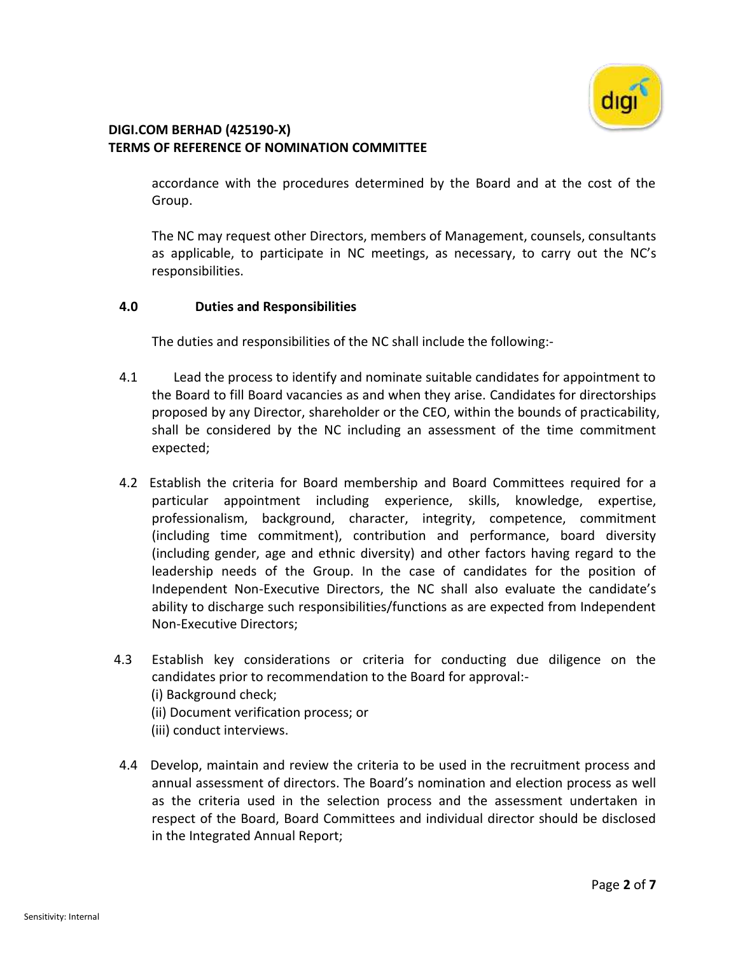

accordance with the procedures determined by the Board and at the cost of the Group.

The NC may request other Directors, members of Management, counsels, consultants as applicable, to participate in NC meetings, as necessary, to carry out the NC's responsibilities.

### **4.0 Duties and Responsibilities**

The duties and responsibilities of the NC shall include the following:-

- 4.1 Lead the process to identify and nominate suitable candidates for appointment to the Board to fill Board vacancies as and when they arise. Candidates for directorships proposed by any Director, shareholder or the CEO, within the bounds of practicability, shall be considered by the NC including an assessment of the time commitment expected;
- 4.2 Establish the criteria for Board membership and Board Committees required for a particular appointment including experience, skills, knowledge, expertise, professionalism, background, character, integrity, competence, commitment (including time commitment), contribution and performance, board diversity (including gender, age and ethnic diversity) and other factors having regard to the leadership needs of the Group. In the case of candidates for the position of Independent Non-Executive Directors, the NC shall also evaluate the candidate's ability to discharge such responsibilities/functions as are expected from Independent Non-Executive Directors;
- 4.3 Establish key considerations or criteria for conducting due diligence on the candidates prior to recommendation to the Board for approval:- (i) Background check; (ii) Document verification process; or (iii) conduct interviews.
- 4.4 Develop, maintain and review the criteria to be used in the recruitment process and annual assessment of directors. The Board's nomination and election process as well as the criteria used in the selection process and the assessment undertaken in respect of the Board, Board Committees and individual director should be disclosed in the Integrated Annual Report;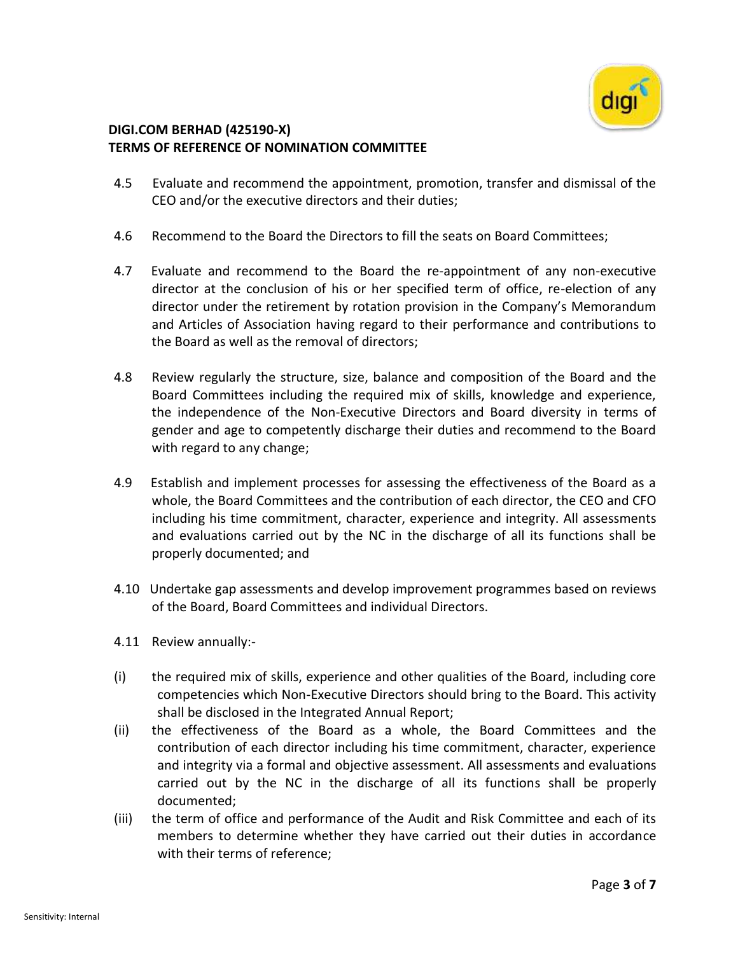

- 4.5 Evaluate and recommend the appointment, promotion, transfer and dismissal of the CEO and/or the executive directors and their duties;
- 4.6 Recommend to the Board the Directors to fill the seats on Board Committees;
- 4.7 Evaluate and recommend to the Board the re-appointment of any non-executive director at the conclusion of his or her specified term of office, re-election of any director under the retirement by rotation provision in the Company's Memorandum and Articles of Association having regard to their performance and contributions to the Board as well as the removal of directors;
- 4.8 Review regularly the structure, size, balance and composition of the Board and the Board Committees including the required mix of skills, knowledge and experience, the independence of the Non-Executive Directors and Board diversity in terms of gender and age to competently discharge their duties and recommend to the Board with regard to any change;
- 4.9 Establish and implement processes for assessing the effectiveness of the Board as a whole, the Board Committees and the contribution of each director, the CEO and CFO including his time commitment, character, experience and integrity. All assessments and evaluations carried out by the NC in the discharge of all its functions shall be properly documented; and
- 4.10 Undertake gap assessments and develop improvement programmes based on reviews of the Board, Board Committees and individual Directors.
- 4.11 Review annually:-
- (i) the required mix of skills, experience and other qualities of the Board, including core competencies which Non-Executive Directors should bring to the Board. This activity shall be disclosed in the Integrated Annual Report;
- (ii) the effectiveness of the Board as a whole, the Board Committees and the contribution of each director including his time commitment, character, experience and integrity via a formal and objective assessment. All assessments and evaluations carried out by the NC in the discharge of all its functions shall be properly documented;
- (iii) the term of office and performance of the Audit and Risk Committee and each of its members to determine whether they have carried out their duties in accordance with their terms of reference;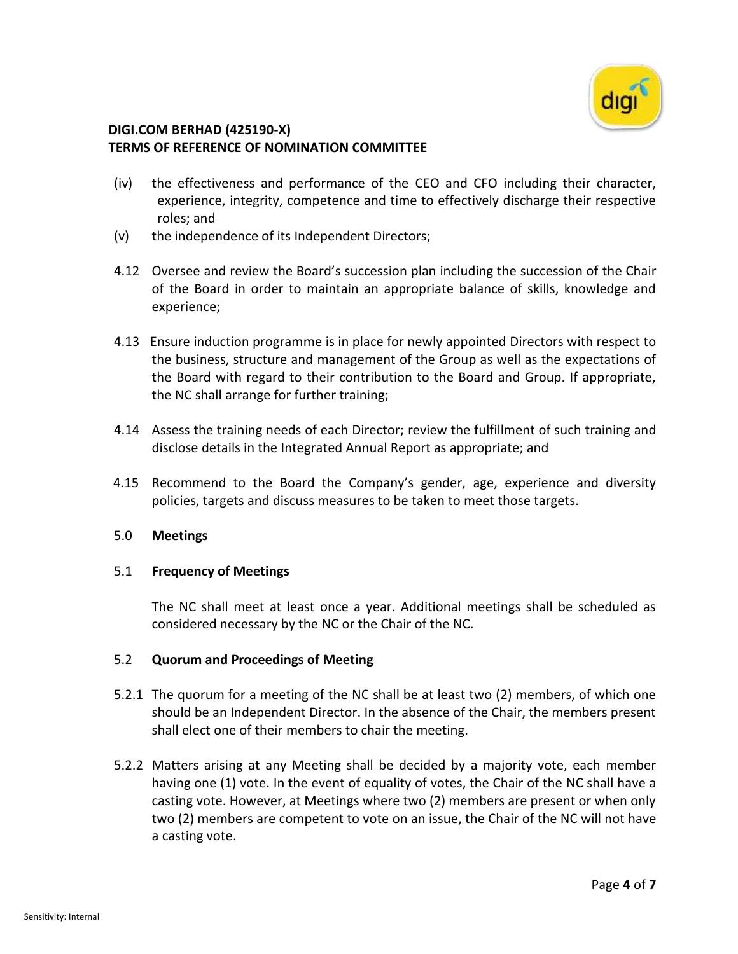

- (iv) the effectiveness and performance of the CEO and CFO including their character, experience, integrity, competence and time to effectively discharge their respective roles; and
- (v) the independence of its Independent Directors;
- 4.12 Oversee and review the Board's succession plan including the succession of the Chair of the Board in order to maintain an appropriate balance of skills, knowledge and experience;
- 4.13 Ensure induction programme is in place for newly appointed Directors with respect to the business, structure and management of the Group as well as the expectations of the Board with regard to their contribution to the Board and Group. If appropriate, the NC shall arrange for further training;
- 4.14 Assess the training needs of each Director; review the fulfillment of such training and disclose details in the Integrated Annual Report as appropriate; and
- 4.15 Recommend to the Board the Company's gender, age, experience and diversity policies, targets and discuss measures to be taken to meet those targets.

### 5.0 **Meetings**

### 5.1 **Frequency of Meetings**

The NC shall meet at least once a year. Additional meetings shall be scheduled as considered necessary by the NC or the Chair of the NC.

### 5.2 **Quorum and Proceedings of Meeting**

- 5.2.1 The quorum for a meeting of the NC shall be at least two (2) members, of which one should be an Independent Director. In the absence of the Chair, the members present shall elect one of their members to chair the meeting.
- 5.2.2 Matters arising at any Meeting shall be decided by a majority vote, each member having one (1) vote. In the event of equality of votes, the Chair of the NC shall have a casting vote. However, at Meetings where two (2) members are present or when only two (2) members are competent to vote on an issue, the Chair of the NC will not have a casting vote.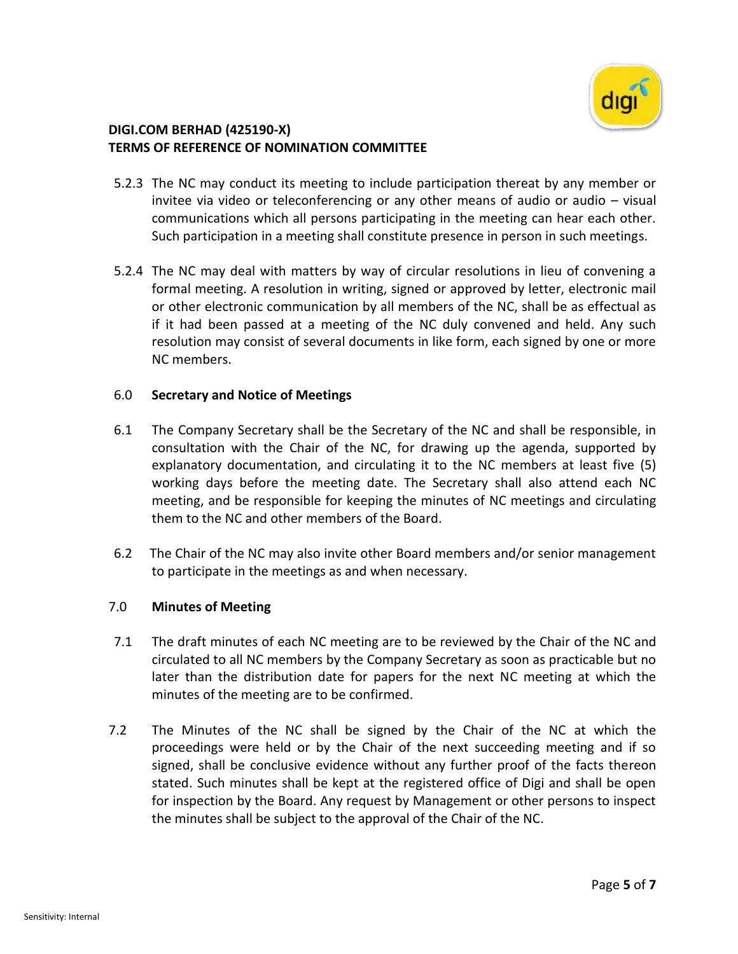

- 5.2.3 The NC may conduct its meeting to include participation thereat by any member or invitee via video or teleconferencing or any other means of audio or audio – visual communications which all persons participating in the meeting can hear each other. Such participation in a meeting shall constitute presence in person in such meetings.
- 5.2.4 The NC may deal with matters by way of circular resolutions in lieu of convening a formal meeting. A resolution in writing, signed or approved by letter, electronic mail or other electronic communication by all members of the NC, shall be as effectual as if it had been passed at a meeting of the NC duly convened and held. Any such resolution may consist of several documents in like form, each signed by one or more NC members.

### 6.0 **Secretary and Notice of Meetings**

- 6.1 The Company Secretary shall be the Secretary of the NC and shall be responsible, in consultation with the Chair of the NC, for drawing up the agenda, supported by explanatory documentation, and circulating it to the NC members at least five (5) working days before the meeting date. The Secretary shall also attend each NC meeting, and be responsible for keeping the minutes of NC meetings and circulating them to the NC and other members of the Board.
- 6.2 The Chair of the NC may also invite other Board members and/or senior management to participate in the meetings as and when necessary.

#### 7.0 **Minutes of Meeting**

- 7.1 The draft minutes of each NC meeting are to be reviewed by the Chair of the NC and circulated to all NC members by the Company Secretary as soon as practicable but no later than the distribution date for papers for the next NC meeting at which the minutes of the meeting are to be confirmed.
- 7.2 The Minutes of the NC shall be signed by the Chair of the NC at which the proceedings were held or by the Chair of the next succeeding meeting and if so signed, shall be conclusive evidence without any further proof of the facts thereon stated. Such minutes shall be kept at the registered office of Digi and shall be open for inspection by the Board. Any request by Management or other persons to inspect the minutes shall be subject to the approval of the Chair of the NC.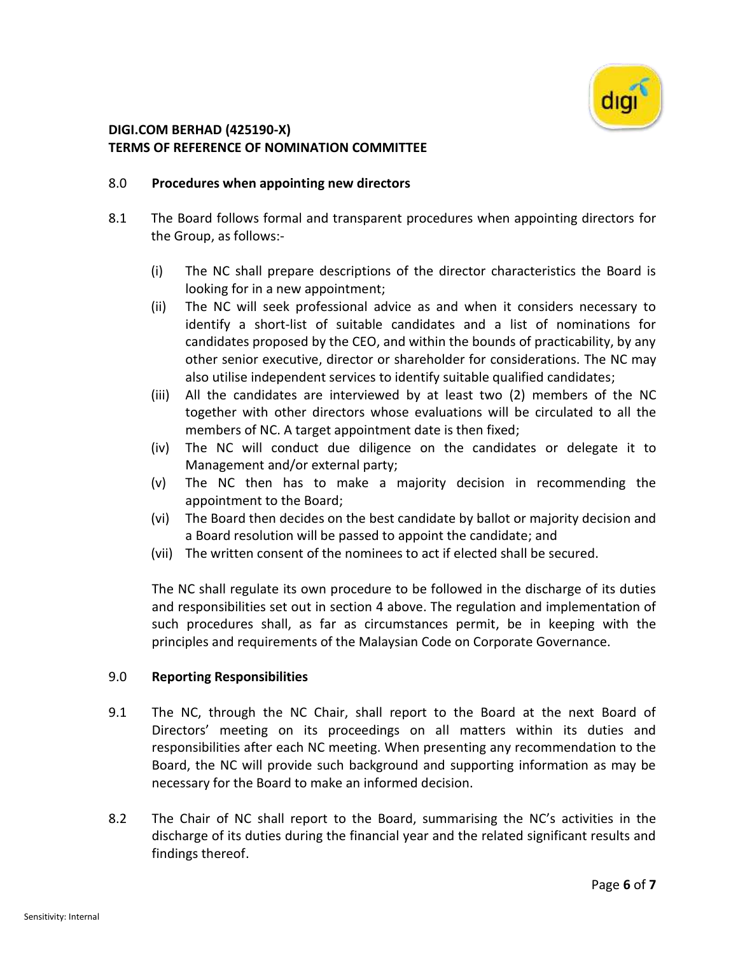

### 8.0 **Procedures when appointing new directors**

- 8.1 The Board follows formal and transparent procedures when appointing directors for the Group, as follows:-
	- (i) The NC shall prepare descriptions of the director characteristics the Board is looking for in a new appointment;
	- (ii) The NC will seek professional advice as and when it considers necessary to identify a short-list of suitable candidates and a list of nominations for candidates proposed by the CEO, and within the bounds of practicability, by any other senior executive, director or shareholder for considerations. The NC may also utilise independent services to identify suitable qualified candidates;
	- (iii) All the candidates are interviewed by at least two (2) members of the NC together with other directors whose evaluations will be circulated to all the members of NC. A target appointment date is then fixed;
	- (iv) The NC will conduct due diligence on the candidates or delegate it to Management and/or external party;
	- (v) The NC then has to make a majority decision in recommending the appointment to the Board;
	- (vi) The Board then decides on the best candidate by ballot or majority decision and a Board resolution will be passed to appoint the candidate; and
	- (vii) The written consent of the nominees to act if elected shall be secured.

The NC shall regulate its own procedure to be followed in the discharge of its duties and responsibilities set out in section 4 above. The regulation and implementation of such procedures shall, as far as circumstances permit, be in keeping with the principles and requirements of the Malaysian Code on Corporate Governance.

### 9.0 **Reporting Responsibilities**

- 9.1 The NC, through the NC Chair, shall report to the Board at the next Board of Directors' meeting on its proceedings on all matters within its duties and responsibilities after each NC meeting. When presenting any recommendation to the Board, the NC will provide such background and supporting information as may be necessary for the Board to make an informed decision.
- 8.2 The Chair of NC shall report to the Board, summarising the NC's activities in the discharge of its duties during the financial year and the related significant results and findings thereof.